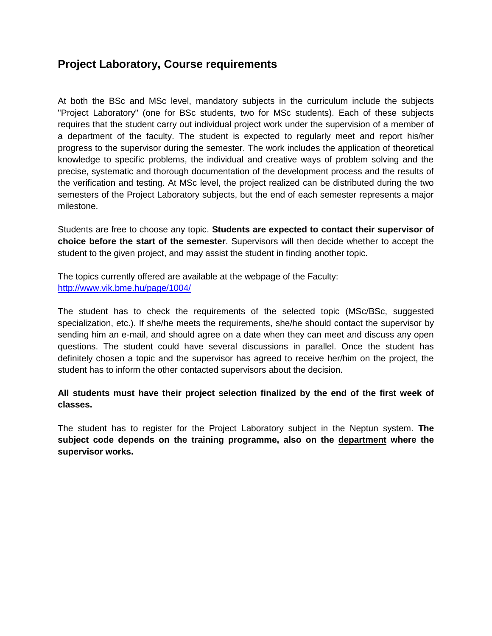## **Project Laboratory, Course requirements**

At both the BSc and MSc level, mandatory subjects in the curriculum include the subjects "Project Laboratory" (one for BSc students, two for MSc students). Each of these subjects requires that the student carry out individual project work under the supervision of a member of a department of the faculty. The student is expected to regularly meet and report his/her progress to the supervisor during the semester. The work includes the application of theoretical knowledge to specific problems, the individual and creative ways of problem solving and the precise, systematic and thorough documentation of the development process and the results of the verification and testing. At MSc level, the project realized can be distributed during the two semesters of the Project Laboratory subjects, but the end of each semester represents a major milestone.

Students are free to choose any topic. **Students are expected to contact their supervisor of choice before the start of the semester**. Supervisors will then decide whether to accept the student to the given project, and may assist the student in finding another topic.

The topics currently offered are available at the webpage of the Faculty: <http://www.vik.bme.hu/page/1004/>

The student has to check the requirements of the selected topic (MSc/BSc, suggested specialization, etc.). If she/he meets the requirements, she/he should contact the supervisor by sending him an e-mail, and should agree on a date when they can meet and discuss any open questions. The student could have several discussions in parallel. Once the student has definitely chosen a topic and the supervisor has agreed to receive her/him on the project, the student has to inform the other contacted supervisors about the decision.

**All students must have their project selection finalized by the end of the first week of classes.**

The student has to register for the Project Laboratory subject in the Neptun system. **The subject code depends on the training programme, also on the department where the supervisor works.**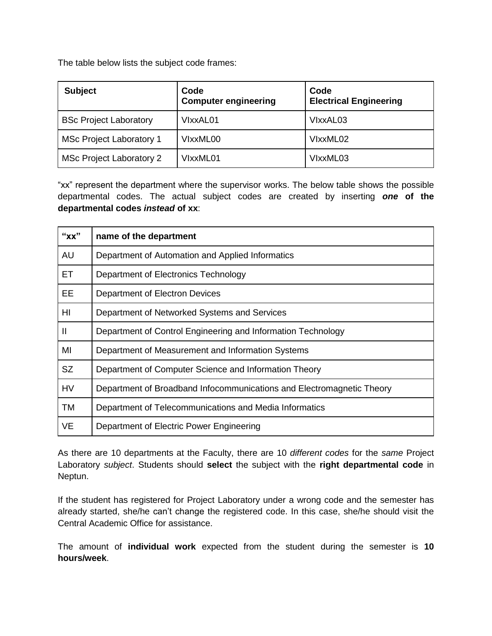The table below lists the subject code frames:

| <b>Subject</b>                  | Code<br><b>Computer engineering</b> | Code<br><b>Electrical Engineering</b> |
|---------------------------------|-------------------------------------|---------------------------------------|
| <b>BSc Project Laboratory</b>   | VIxxAL01                            | VIxxAL03                              |
| <b>MSc Project Laboratory 1</b> | VIxxML00                            | VIxxML02                              |
| MSc Project Laboratory 2        | VIxxML01                            | VIxxML03                              |

"xx" represent the department where the supervisor works. The below table shows the possible departmental codes. The actual subject codes are created by inserting *one* **of the departmental codes** *instead* **of xx**:

| "xx"         | name of the department                                                |
|--------------|-----------------------------------------------------------------------|
| AU           | Department of Automation and Applied Informatics                      |
| ET.          | Department of Electronics Technology                                  |
| EE           | Department of Electron Devices                                        |
| HI           | Department of Networked Systems and Services                          |
| $\mathbf{I}$ | Department of Control Engineering and Information Technology          |
| MI           | Department of Measurement and Information Systems                     |
| <b>SZ</b>    | Department of Computer Science and Information Theory                 |
| <b>HV</b>    | Department of Broadband Infocommunications and Electromagnetic Theory |
| TM           | Department of Telecommunications and Media Informatics                |
| <b>VE</b>    | Department of Electric Power Engineering                              |

As there are 10 departments at the Faculty, there are 10 *different codes* for the *same* Project Laboratory *subject*. Students should **select** the subject with the **right departmental code** in Neptun.

If the student has registered for Project Laboratory under a wrong code and the semester has already started, she/he can't change the registered code. In this case, she/he should [visit the](mailto:%20visit%20the) Central Academic Office for assistance.

The amount of **individual work** expected from the student during the semester is **10 hours/week**.